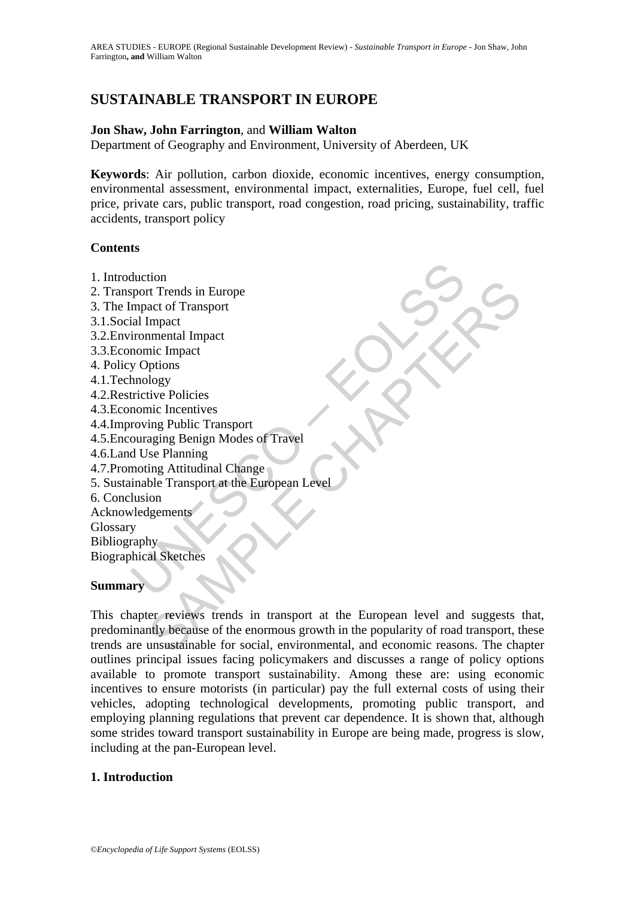# **SUSTAINABLE TRANSPORT IN EUROPE**

#### **Jon Shaw, John Farrington**, and **William Walton**

Department of Geography and Environment, University of Aberdeen, UK

**Keywords**: Air pollution, carbon dioxide, economic incentives, energy consumption, environmental assessment, environmental impact, externalities, Europe, fuel cell, fuel price, private cars, public transport, road congestion, road pricing, sustainability, traffic accidents, transport policy

#### **Contents**

- 1. Introduction
- 2. Transport Trends in Europe
- 3. The Impact of Transport
- 3.1.Social Impact
- 3.2.Environmental Impact
- 3.3.Economic Impact
- 4. Policy Options
- 4.1.Technology
- 4.2.Restrictive Policies
- 4.3.Economic Incentives
- 4.4.Improving Public Transport
- 4.5.Encouraging Benign Modes of Travel
- 4.6.Land Use Planning
- 4.7.Promoting Attitudinal Change
- duction<br>sport Trends in Europe<br>mpact of Transport<br>ial Impact<br>ironmental Impact<br>promine Impact<br>promines and the policies<br>monic Incentives<br>rowing Public Transport<br>ouraging Benign Modes of Travel<br>moting Attitudinal Change<br>ina 5. Sustainable Transport at the European Level
- 6. Conclusion
- Acknowledgements
- Glossary Bibliography

Biographical Sketches

#### **Summary**

that<br>
the transference and the surface of Transport<br>
Impact<br>
Impact<br>
Impact<br>
inc Impact<br>
ince Impact<br>
ince Policies<br>
ince Incentives<br>
ing Public Transport<br>
aging Beinging Modes of Travel<br>
ing Attitudinal Change<br>
is a Sketc This chapter reviews trends in transport at the European level and suggests that, predominantly because of the enormous growth in the popularity of road transport, these trends are unsustainable for social, environmental, and economic reasons. The chapter outlines principal issues facing policymakers and discusses a range of policy options available to promote transport sustainability. Among these are: using economic incentives to ensure motorists (in particular) pay the full external costs of using their vehicles, adopting technological developments, promoting public transport, and employing planning regulations that prevent car dependence. It is shown that, although some strides toward transport sustainability in Europe are being made, progress is slow, including at the pan-European level.

## **1. Introduction**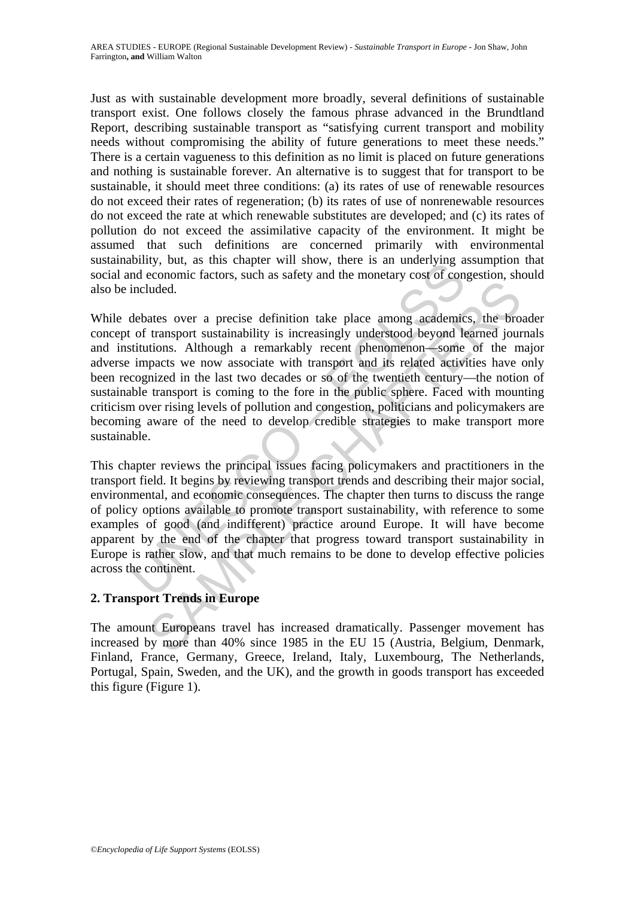Just as with sustainable development more broadly, several definitions of sustainable transport exist. One follows closely the famous phrase advanced in the Brundtland Report, describing sustainable transport as "satisfying current transport and mobility needs without compromising the ability of future generations to meet these needs." There is a certain vagueness to this definition as no limit is placed on future generations and nothing is sustainable forever. An alternative is to suggest that for transport to be sustainable, it should meet three conditions: (a) its rates of use of renewable resources do not exceed their rates of regeneration; (b) its rates of use of nonrenewable resources do not exceed the rate at which renewable substitutes are developed; and (c) its rates of pollution do not exceed the assimilative capacity of the environment. It might be assumed that such definitions are concerned primarily with environmental sustainability, but, as this chapter will show, there is an underlying assumption that social and economic factors, such as safety and the monetary cost of congestion, should also be included.

bound exconomic factors, such as safety and the monetary cost of connectance included.<br>
debates over a precise definition take place among academic of transport sustainability is increasingly understood beyond let<br>
include Internal control and the place and the big of the same of the same of the same of the same of the same of the same of the masport sustainability is increasingly understood beyond learned journions. Although a remarkably re While debates over a precise definition take place among academics, the broader concept of transport sustainability is increasingly understood beyond learned journals and institutions. Although a remarkably recent phenomenon—some of the major adverse impacts we now associate with transport and its related activities have only been recognized in the last two decades or so of the twentieth century—the notion of sustainable transport is coming to the fore in the public sphere. Faced with mounting criticism over rising levels of pollution and congestion, politicians and policymakers are becoming aware of the need to develop credible strategies to make transport more sustainable.

This chapter reviews the principal issues facing policymakers and practitioners in the transport field. It begins by reviewing transport trends and describing their major social, environmental, and economic consequences. The chapter then turns to discuss the range of policy options available to promote transport sustainability, with reference to some examples of good (and indifferent) practice around Europe. It will have become apparent by the end of the chapter that progress toward transport sustainability in Europe is rather slow, and that much remains to be done to develop effective policies across the continent.

## **2. Transport Trends in Europe**

The amount Europeans travel has increased dramatically. Passenger movement has increased by more than 40% since 1985 in the EU 15 (Austria, Belgium, Denmark, Finland, France, Germany, Greece, Ireland, Italy, Luxembourg, The Netherlands, Portugal, Spain, Sweden, and the UK), and the growth in goods transport has exceeded this figure (Figure 1).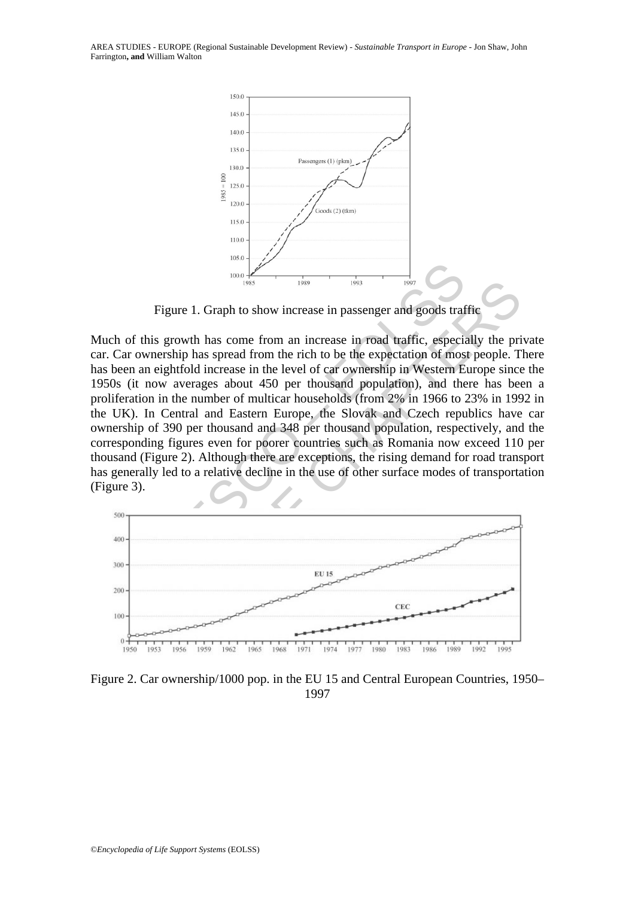AREA STUDIES - EUROPE (Regional Sustainable Development Review) - *Sustainable Transport in Europe* - Jon Shaw, John Farrington**, and** William Walton



Figure 1. Graph to show increase in passenger and goods traffic

Figure 1. Graph to show increase in passenger and goods traft<br>
Figure 1. Graph to show increase in passenger and goods traft<br>
ownership has spread from an increase in road traffic, especial<br>
ownership has spread from the r Figure 1. Graph to show increase in passenger and goods traffic<br>
is growth has come from an increase in road traffic, especially the pri<br>
nership has spread from the rich to be the expectation of most people. T<br>
neightfold Much of this growth has come from an increase in road traffic, especially the private car. Car ownership has spread from the rich to be the expectation of most people. There has been an eightfold increase in the level of car ownership in Western Europe since the 1950s (it now averages about 450 per thousand population), and there has been a proliferation in the number of multicar households (from 2% in 1966 to 23% in 1992 in the UK). In Central and Eastern Europe, the Slovak and Czech republics have car ownership of 390 per thousand and 348 per thousand population, respectively, and the corresponding figures even for poorer countries such as Romania now exceed 110 per thousand (Figure 2). Although there are exceptions, the rising demand for road transport has generally led to a relative decline in the use of other surface modes of transportation (Figure 3).



Figure 2. Car ownership/1000 pop. in the EU 15 and Central European Countries, 1950– 1997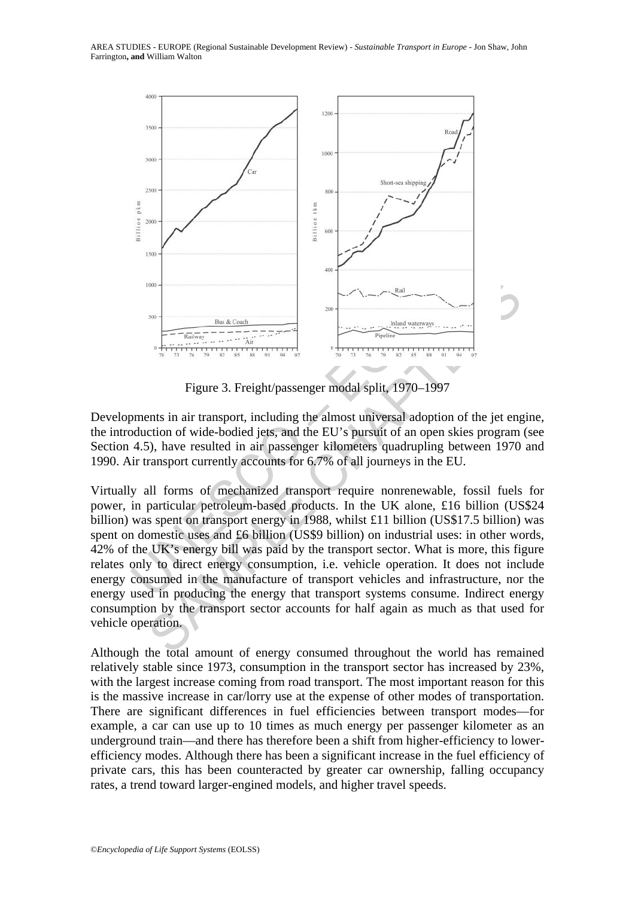

Figure 3. Freight/passenger modal split, 1970–1997

Developments in air transport, including the almost universal adoption of the jet engine, the introduction of wide-bodied jets, and the EU's pursuit of an open skies program (see Section 4.5), have resulted in air passenger kilometers quadrupling between 1970 and 1990. Air transport currently accounts for 6.7% of all journeys in the EU.

 $\begin{tabular}{|c|c|c|c|c|c|} \hline & $\mathbb{S}_{10} \equiv & $\mathbb{S}_{10} \equiv & $\mathbb{S}_{10} \equiv & $\mathbb{S}_{10} \equiv & $\mathbb{S}_{10} \equiv & $\mathbb{S}_{10} \equiv & $\mathbb{S}_{10} \equiv & $\mathbb{S}_{10} \equiv & $\mathbb{S}_{10} \equiv & $\mathbb{S}_{10} \equiv & $\mathbb{S}_{10} \equiv & $\mathbb{S}_{10} \equiv & $\mathbb{S}_{10} \equiv & $\mathbb{S}_{10} \equiv & $\mathbb{S}_{10} \equiv & $\mathbb{S}_{10} \equiv & $\mathbb{$ Virtually all forms of mechanized transport require nonrenewable, fossil fuels for power, in particular petroleum-based products. In the UK alone, £16 billion (US\$24 billion) was spent on transport energy in 1988, whilst £11 billion (US\$17.5 billion) was spent on domestic uses and £6 billion (US\$9 billion) on industrial uses: in other words, 42% of the UK's energy bill was paid by the transport sector. What is more, this figure relates only to direct energy consumption, i.e. vehicle operation. It does not include energy consumed in the manufacture of transport vehicles and infrastructure, nor the energy used in producing the energy that transport systems consume. Indirect energy consumption by the transport sector accounts for half again as much as that used for vehicle operation.

Although the total amount of energy consumed throughout the world has remained relatively stable since 1973, consumption in the transport sector has increased by 23%, with the largest increase coming from road transport. The most important reason for this is the massive increase in car/lorry use at the expense of other modes of transportation. There are significant differences in fuel efficiencies between transport modes—for example, a car can use up to 10 times as much energy per passenger kilometer as an underground train—and there has therefore been a shift from higher-efficiency to lowerefficiency modes. Although there has been a significant increase in the fuel efficiency of private cars, this has been counteracted by greater car ownership, falling occupancy rates, a trend toward larger-engined models, and higher travel speeds.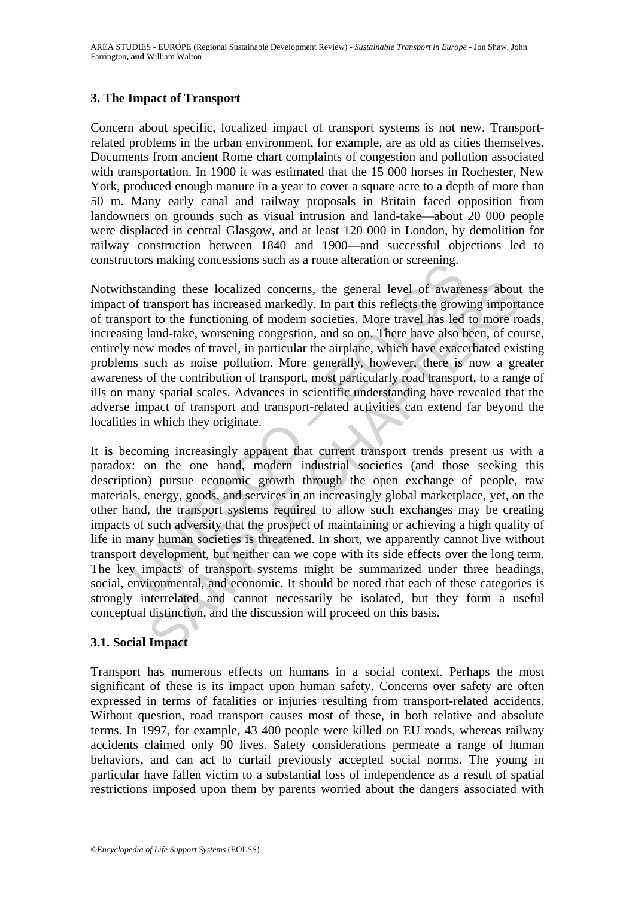## **3. The Impact of Transport**

Concern about specific, localized impact of transport systems is not new. Transportrelated problems in the urban environment, for example, are as old as cities themselves. Documents from ancient Rome chart complaints of congestion and pollution associated with transportation. In 1900 it was estimated that the 15 000 horses in Rochester, New York, produced enough manure in a year to cover a square acre to a depth of more than 50 m. Many early canal and railway proposals in Britain faced opposition from landowners on grounds such as visual intrusion and land-take—about 20 000 people were displaced in central Glasgow, and at least 120 000 in London, by demolition for railway construction between 1840 and 1900—and successful objections led to constructors making concessions such as a route alteration or screening.

Notwithstanding these localized concerns, the general level of awareness about the impact of transport has increased markedly. In part this reflects the growing importance of transport to the functioning of modern societies. More travel has led to more roads, increasing land-take, worsening congestion, and so on. There have also been, of course, entirely new modes of travel, in particular the airplane, which have exacerbated existing problems such as noise pollution. More generally, however, there is now a greater awareness of the contribution of transport, most particularly road transport, to a range of ills on many spatial scales. Advances in scientific understanding have revealed that the adverse impact of transport and transport-related activities can extend far beyond the localities in which they originate.

standing these localized concerns, the general level of aware<br>of transport has increased markedly. In part this reflects the grow<br>port to the functioning of modern societies. More travel has led<br>ng land-take, worsening con nding these localized concerns, the general level of awareness about<br>ransport has increased markedly. In part this reflects the growing importated to the functioning of modern societies. More travel has led to more reavel It is becoming increasingly apparent that current transport trends present us with a paradox: on the one hand, modern industrial societies (and those seeking this description) pursue economic growth through the open exchange of people, raw materials, energy, goods, and services in an increasingly global marketplace, yet, on the other hand, the transport systems required to allow such exchanges may be creating impacts of such adversity that the prospect of maintaining or achieving a high quality of life in many human societies is threatened. In short, we apparently cannot live without transport development, but neither can we cope with its side effects over the long term. The key impacts of transport systems might be summarized under three headings, social, environmental, and economic. It should be noted that each of these categories is strongly interrelated and cannot necessarily be isolated, but they form a useful conceptual distinction, and the discussion will proceed on this basis.

## **3.1. Social Impact**

Transport has numerous effects on humans in a social context. Perhaps the most significant of these is its impact upon human safety. Concerns over safety are often expressed in terms of fatalities or injuries resulting from transport-related accidents. Without question, road transport causes most of these, in both relative and absolute terms. In 1997, for example, 43 400 people were killed on EU roads, whereas railway accidents claimed only 90 lives. Safety considerations permeate a range of human behaviors, and can act to curtail previously accepted social norms. The young in particular have fallen victim to a substantial loss of independence as a result of spatial restrictions imposed upon them by parents worried about the dangers associated with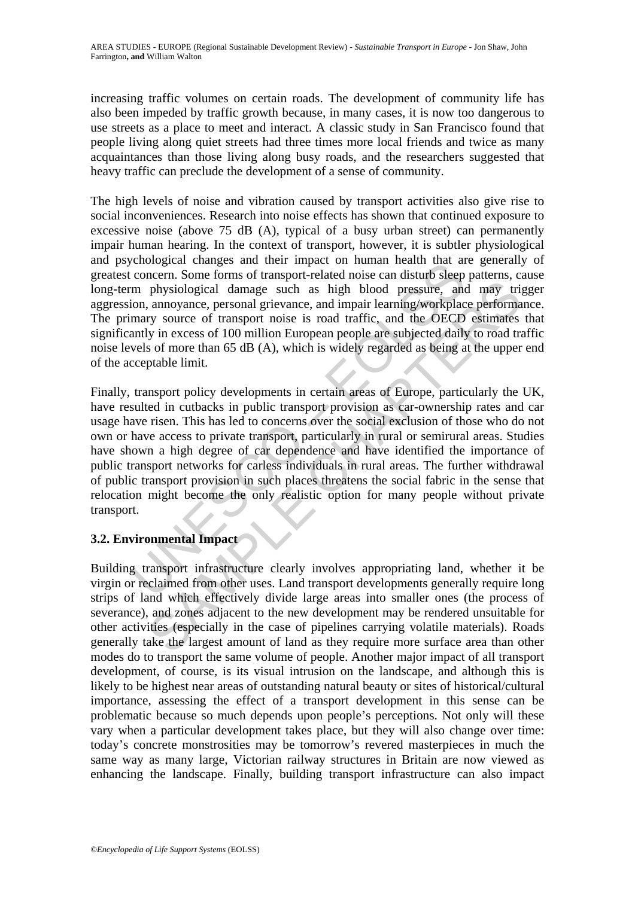increasing traffic volumes on certain roads. The development of community life has also been impeded by traffic growth because, in many cases, it is now too dangerous to use streets as a place to meet and interact. A classic study in San Francisco found that people living along quiet streets had three times more local friends and twice as many acquaintances than those living along busy roads, and the researchers suggested that heavy traffic can preclude the development of a sense of community.

The high levels of noise and vibration caused by transport activities also give rise to social inconveniences. Research into noise effects has shown that continued exposure to excessive noise (above 75 dB (A), typical of a busy urban street) can permanently impair human hearing. In the context of transport, however, it is subtler physiological and psychological changes and their impact on human health that are generally of greatest concern. Some forms of transport-related noise can disturb sleep patterns, cause long-term physiological damage such as high blood pressure, and may trigger aggression, annoyance, personal grievance, and impair learning/workplace performance. The primary source of transport noise is road traffic, and the OECD estimates that significantly in excess of 100 million European people are subjected daily to road traffic noise levels of more than 65 dB (A), which is widely regarded as being at the upper end of the acceptable limit.

concern. Some forms of transport and main mean main than an<br>concern. Some forms of transport-related noise can disturb sleep<br>m physiological damage such as high blood pressure, and<br>ion, annoyance, personal grievance, and i physiological damage such as high blood pressure, and may tri-<br>physiological damage such as high blood pressure, and may tri-<br>aunoyance, personal grievance, and impair learning/workplace performa<br>yr source of transport noi Finally, transport policy developments in certain areas of Europe, particularly the UK, have resulted in cutbacks in public transport provision as car-ownership rates and car usage have risen. This has led to concerns over the social exclusion of those who do not own or have access to private transport, particularly in rural or semirural areas. Studies have shown a high degree of car dependence and have identified the importance of public transport networks for carless individuals in rural areas. The further withdrawal of public transport provision in such places threatens the social fabric in the sense that relocation might become the only realistic option for many people without private transport.

## **3.2. Environmental Impact**

Building transport infrastructure clearly involves appropriating land, whether it be virgin or reclaimed from other uses. Land transport developments generally require long strips of land which effectively divide large areas into smaller ones (the process of severance), and zones adjacent to the new development may be rendered unsuitable for other activities (especially in the case of pipelines carrying volatile materials). Roads generally take the largest amount of land as they require more surface area than other modes do to transport the same volume of people. Another major impact of all transport development, of course, is its visual intrusion on the landscape, and although this is likely to be highest near areas of outstanding natural beauty or sites of historical/cultural importance, assessing the effect of a transport development in this sense can be problematic because so much depends upon people's perceptions. Not only will these vary when a particular development takes place, but they will also change over time: today's concrete monstrosities may be tomorrow's revered masterpieces in much the same way as many large, Victorian railway structures in Britain are now viewed as enhancing the landscape. Finally, building transport infrastructure can also impact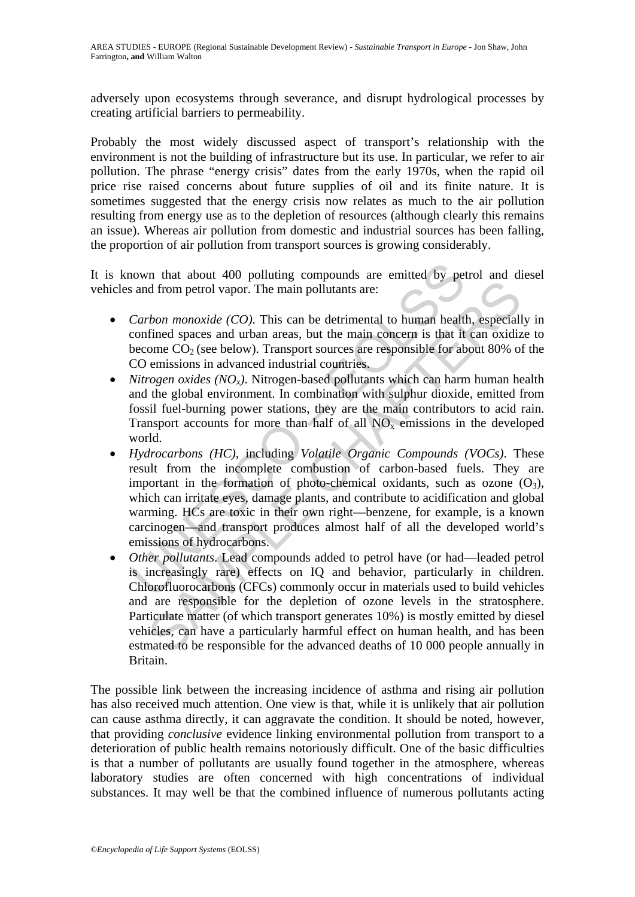adversely upon ecosystems through severance, and disrupt hydrological processes by creating artificial barriers to permeability.

Probably the most widely discussed aspect of transport's relationship with the environment is not the building of infrastructure but its use. In particular, we refer to air pollution. The phrase "energy crisis" dates from the early 1970s, when the rapid oil price rise raised concerns about future supplies of oil and its finite nature. It is sometimes suggested that the energy crisis now relates as much to the air pollution resulting from energy use as to the depletion of resources (although clearly this remains an issue). Whereas air pollution from domestic and industrial sources has been falling, the proportion of air pollution from transport sources is growing considerably.

It is known that about 400 polluting compounds are emitted by petrol and diesel vehicles and from petrol vapor. The main pollutants are:

- *Carbon monoxide (CO)*. This can be detrimental to human health, especially in confined spaces and urban areas, but the main concern is that it can oxidize to become  $CO<sub>2</sub>$  (see below). Transport sources are responsible for about 80% of the CO emissions in advanced industrial countries.
- *Nitrogen oxides (NO<sub>x</sub>)*. Nitrogen-based pollutants which can harm human health and the global environment. In combination with sulphur dioxide, emitted from fossil fuel-burning power stations, they are the main contributors to acid rain. Transport accounts for more than half of all  $NO<sub>x</sub>$  emissions in the developed world.
- nown that about 400 polluting compounds are emitted by pet<br>s and from petrol vapor. The main pollutants are:<br>Carbon monoxide (CO). This can be detrimental to human health<br>confined spaces and urban areas, but the main conce • *Hydrocarbons (HC)*, including *Volatile Organic Compounds (VOCs)*. These result from the incomplete combustion of carbon-based fuels. They are important in the formation of photo-chemical oxidants, such as ozone  $(O_3)$ , which can irritate eyes, damage plants, and contribute to acidification and global warming. HCs are toxic in their own right—benzene, for example, is a known carcinogen—and transport produces almost half of all the developed world's emissions of hydrocarbons.
- d from petrol vapor. The main pollutants are:<br> *Hom monoxide (CO)*. This can be detrimental to human health, especial<br>
fined spaces and urban areas, but the main concern is that it can oxidiz<br>
one CO<sub>2</sub> (see below). Trans • *Other pollutants*. Lead compounds added to petrol have (or had—leaded petrol is increasingly rare) effects on IQ and behavior, particularly in children. Chlorofluorocarbons (CFCs) commonly occur in materials used to build vehicles and are responsible for the depletion of ozone levels in the stratosphere. Particulate matter (of which transport generates 10%) is mostly emitted by diesel vehicles, can have a particularly harmful effect on human health, and has been estmated to be responsible for the advanced deaths of 10 000 people annually in Britain.

The possible link between the increasing incidence of asthma and rising air pollution has also received much attention. One view is that, while it is unlikely that air pollution can cause asthma directly, it can aggravate the condition. It should be noted, however, that providing *conclusive* evidence linking environmental pollution from transport to a deterioration of public health remains notoriously difficult. One of the basic difficulties is that a number of pollutants are usually found together in the atmosphere, whereas laboratory studies are often concerned with high concentrations of individual substances. It may well be that the combined influence of numerous pollutants acting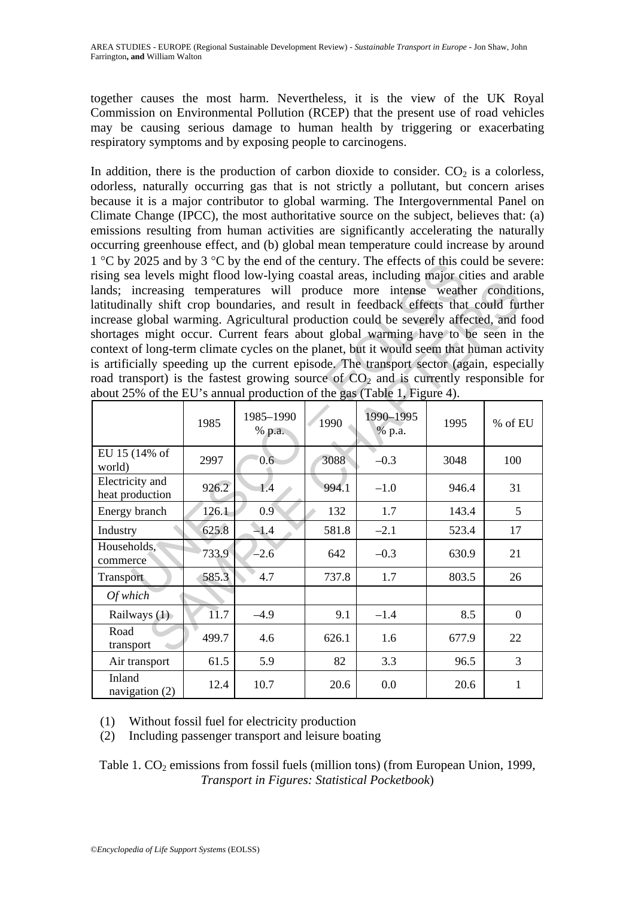together causes the most harm. Nevertheless, it is the view of the UK Royal Commission on Environmental Pollution (RCEP) that the present use of road vehicles may be causing serious damage to human health by triggering or exacerbating respiratory symptoms and by exposing people to carcinogens.

In addition, there is the production of carbon dioxide to consider.  $CO<sub>2</sub>$  is a colorless, odorless, naturally occurring gas that is not strictly a pollutant, but concern arises because it is a major contributor to global warming. The Intergovernmental Panel on Climate Change (IPCC), the most authoritative source on the subject, believes that: (a) emissions resulting from human activities are significantly accelerating the naturally occurring greenhouse effect, and (b) global mean temperature could increase by around 1 °C by 2025 and by 3 °C by the end of the century. The effects of this could be severe: rising sea levels might flood low-lying coastal areas, including major cities and arable lands; increasing temperatures will produce more intense weather conditions, latitudinally shift crop boundaries, and result in feedback effects that could further increase global warming. Agricultural production could be severely affected, and food shortages might occur. Current fears about global warming have to be seen in the context of long-term climate cycles on the planet, but it would seem that human activity is artificially speeding up the current episode. The transport sector (again, especially road transport) is the fastest growing source of  $CO<sub>2</sub>$  and is currently responsible for about 25% of the EU's annual production of the gas (Table 1, Figure 4).

| $\frac{1}{1}$ C by 2025 and by $\frac{1}{2}$ C by the end of the century. The effects of this could be severe. |       |                     |       |                     |       |                |
|----------------------------------------------------------------------------------------------------------------|-------|---------------------|-------|---------------------|-------|----------------|
| rising sea levels might flood low-lying coastal areas, including major cities and arable                       |       |                     |       |                     |       |                |
| lands; increasing temperatures will produce more intense weather conditions,                                   |       |                     |       |                     |       |                |
| latitudinally shift crop boundaries, and result in feedback effects that could further                         |       |                     |       |                     |       |                |
| increase global warming. Agricultural production could be severely affected, and food                          |       |                     |       |                     |       |                |
| shortages might occur. Current fears about global warming have to be seen in the                               |       |                     |       |                     |       |                |
| context of long-term climate cycles on the planet, but it would seem that human activity                       |       |                     |       |                     |       |                |
| is artificially speeding up the current episode. The transport sector (again, especially                       |       |                     |       |                     |       |                |
| road transport) is the fastest growing source of $CO2$ and is currently responsible for                        |       |                     |       |                     |       |                |
| about 25% of the EU's annual production of the gas (Table 1, Figure 4).                                        |       |                     |       |                     |       |                |
|                                                                                                                | 1985  | 1985-1990<br>% p.a. | 1990  | 1990-1995<br>% p.a. | 1995  | % of EU        |
| EU 15 (14% of<br>world)                                                                                        | 2997  | 0.6 <sub>2</sub>    | 3088  | $-0.3$              | 3048  | 100            |
| Electricity and<br>heat production                                                                             | 926.2 | 1.4                 | 994.1 | $-1.0$              | 946.4 | 31             |
| Energy branch                                                                                                  | 126.1 | 0.9                 | 132   | 1.7                 | 143.4 | 5              |
| Industry                                                                                                       | 625.8 | $-1.4$              | 581.8 | $-2.1$              | 523.4 | 17             |
| Households,<br>commerce                                                                                        | 733.9 | $-2.6$              | 642   | $-0.3$              | 630.9 | 21             |
| Transport                                                                                                      | 585.3 | 4.7                 | 737.8 | 1.7                 | 803.5 | 26             |
| Of which                                                                                                       |       |                     |       |                     |       |                |
| Railways (1)                                                                                                   | 11.7  | $-4.9$              | 9.1   | $-1.4$              | 8.5   | $\overline{0}$ |
| Road<br>transport                                                                                              | 499.7 | 4.6                 | 626.1 | 1.6                 | 677.9 | 22             |
| Air transport                                                                                                  | 61.5  | 5.9                 | 82    | 3.3                 | 96.5  | 3              |
| Inland<br>navigation (2)                                                                                       | 12.4  | 10.7                | 20.6  | 0.0                 | 20.6  | 1              |

(1) Without fossil fuel for electricity production

(2) Including passenger transport and leisure boating

Table 1.  $CO<sub>2</sub>$  emissions from fossil fuels (million tons) (from European Union, 1999, *Transport in Figures: Statistical Pocketbook*)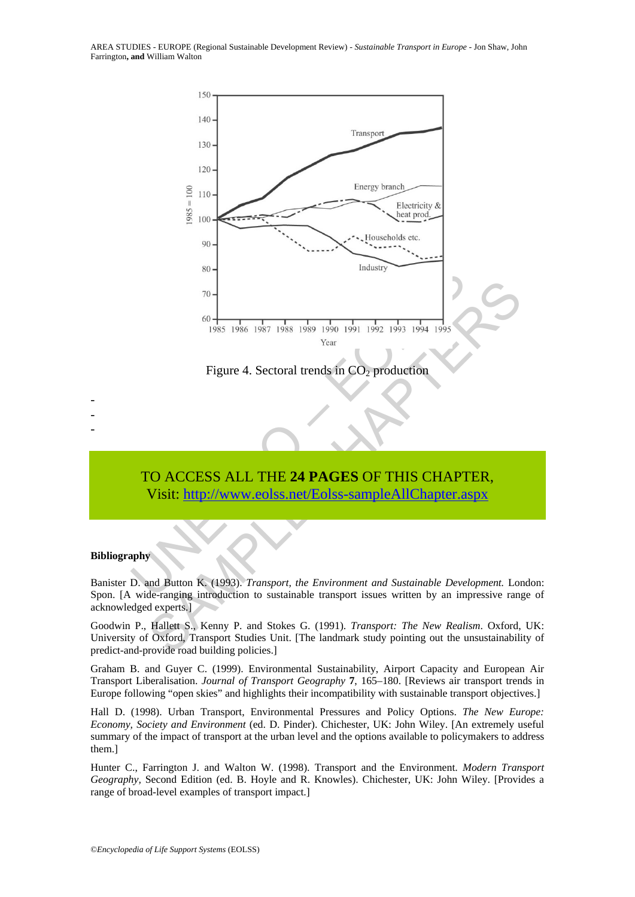AREA STUDIES - EUROPE (Regional Sustainable Development Review) - *Sustainable Transport in Europe* - Jon Shaw, John Farrington**, and** William Walton



Figure 4. Sectoral trends in  $CO<sub>2</sub>$  production

# TO ACCESS ALL THE **24 PAGES** OF THIS CHAPTER, Visit: http://www.eolss.net/Eolss-sampleAllChapter.aspx

#### **Bibliography**

- - -

Banister D. and Button K. (1993). *Transport, the Environment and Sustainable Development.* London: Spon. [A wide-ranging introduction to sustainable transport issues written by an impressive range of acknowledged experts.]

Goodwin P., Hallett S., Kenny P. and Stokes G. (1991). *Transport: The New Realism*. Oxford, UK: University of Oxford, Transport Studies Unit. [The landmark study pointing out the unsustainability of predict-and-provide road building policies.]

Graham B. and Guyer C. (1999). Environmental Sustainability, Airport Capacity and European Air Transport Liberalisation. *Journal of Transport Geography* **7**, 165–180. [Reviews air transport trends in Europe following "open skies" and highlights their incompatibility with sustainable transport objectives.]

Hall D. (1998). Urban Transport, Environmental Pressures and Policy Options. *The New Europe: Economy, Society and Environment* (ed. D. Pinder). Chichester, UK: John Wiley. [An extremely useful summary of the impact of transport at the urban level and the options available to policymakers to address them.]

Hunter C., Farrington J. and Walton W. (1998). Transport and the Environment. *Modern Transport Geography,* Second Edition (ed. B. Hoyle and R. Knowles). Chichester, UK: John Wiley. [Provides a range of broad-level examples of transport impact.]